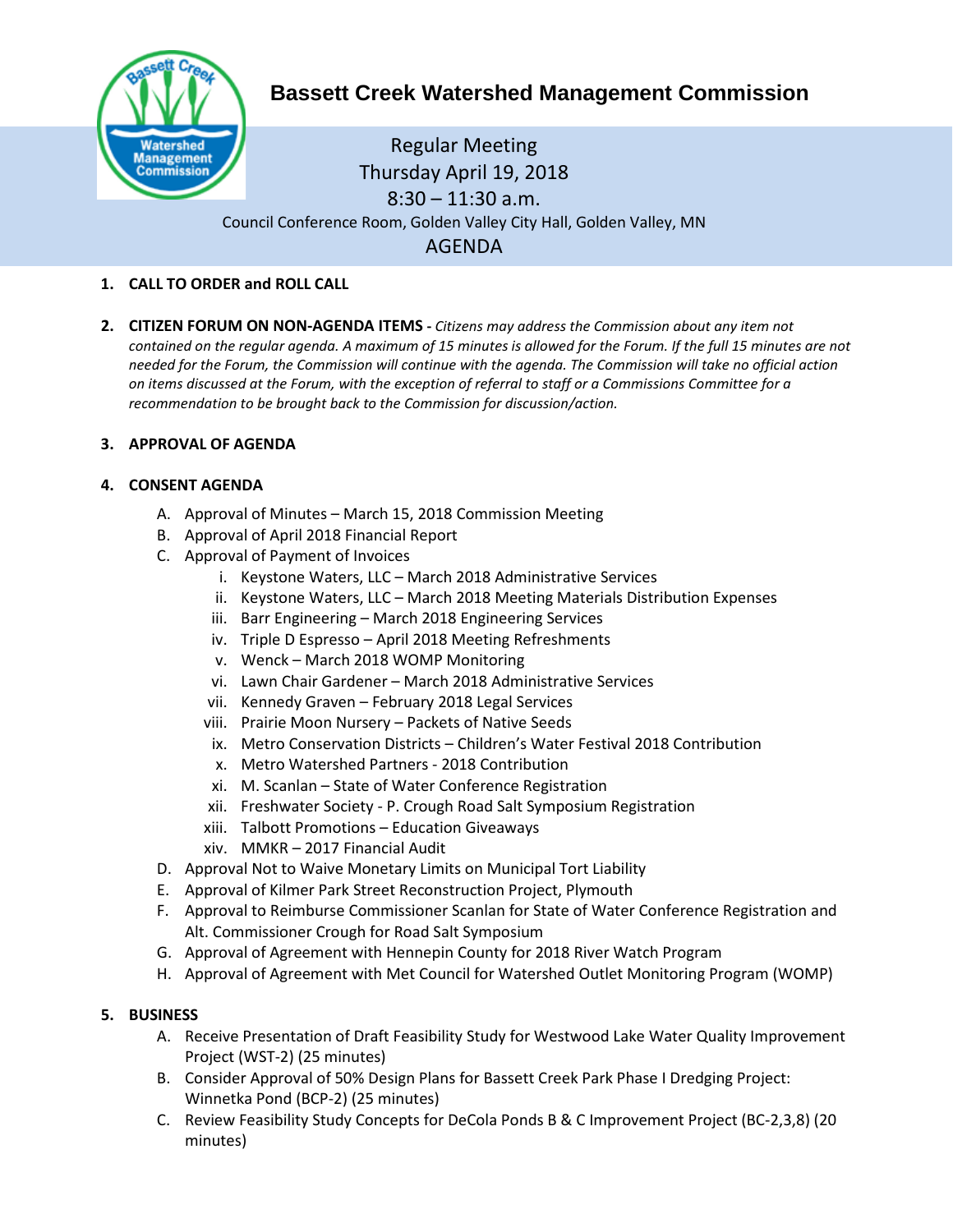

# **Bassett Creek Watershed Management Commission**

## Regular Meeting Thursday April 19, 2018  $8:30 - 11:30$  a.m. Council Conference Room, Golden Valley City Hall, Golden Valley, MN AGENDA

## **1. CALL TO ORDER and ROLL CALL**

**2. CITIZEN FORUM ON NON-AGENDA ITEMS -** *Citizens may address the Commission about any item not contained on the regular agenda. A maximum of 15 minutes is allowed for the Forum. If the full 15 minutes are not needed for the Forum, the Commission will continue with the agenda. The Commission will take no official action on items discussed at the Forum, with the exception of referral to staff or a Commissions Committee for a recommendation to be brought back to the Commission for discussion/action.*

#### **3. APPROVAL OF AGENDA**

#### **4. CONSENT AGENDA**

- A. Approval of Minutes March 15, 2018 Commission Meeting
- B. Approval of April 2018 Financial Report
- C. Approval of Payment of Invoices
	- i. Keystone Waters, LLC March 2018 Administrative Services
	- ii. Keystone Waters, LLC March 2018 Meeting Materials Distribution Expenses
	- iii. Barr Engineering March 2018 Engineering Services
	- iv. Triple D Espresso April 2018 Meeting Refreshments
	- v. Wenck March 2018 WOMP Monitoring
	- vi. Lawn Chair Gardener March 2018 Administrative Services
	- vii. Kennedy Graven February 2018 Legal Services
	- viii. Prairie Moon Nursery Packets of Native Seeds
	- ix. Metro Conservation Districts Children's Water Festival 2018 Contribution
	- x. Metro Watershed Partners 2018 Contribution
	- xi. M. Scanlan State of Water Conference Registration
	- xii. Freshwater Society P. Crough Road Salt Symposium Registration
	- xiii. Talbott Promotions Education Giveaways
	- xiv. MMKR 2017 Financial Audit
- D. Approval Not to Waive Monetary Limits on Municipal Tort Liability
- E. Approval of Kilmer Park Street Reconstruction Project, Plymouth
- F. Approval to Reimburse Commissioner Scanlan for State of Water Conference Registration and Alt. Commissioner Crough for Road Salt Symposium
- G. Approval of Agreement with Hennepin County for 2018 River Watch Program
- H. Approval of Agreement with Met Council for Watershed Outlet Monitoring Program (WOMP)

#### **5. BUSINESS**

- A. Receive Presentation of Draft Feasibility Study for Westwood Lake Water Quality Improvement Project (WST-2) (25 minutes)
- B. Consider Approval of 50% Design Plans for Bassett Creek Park Phase I Dredging Project: Winnetka Pond (BCP-2) (25 minutes)
- C. Review Feasibility Study Concepts for DeCola Ponds B & C Improvement Project (BC-2,3,8) (20 minutes)